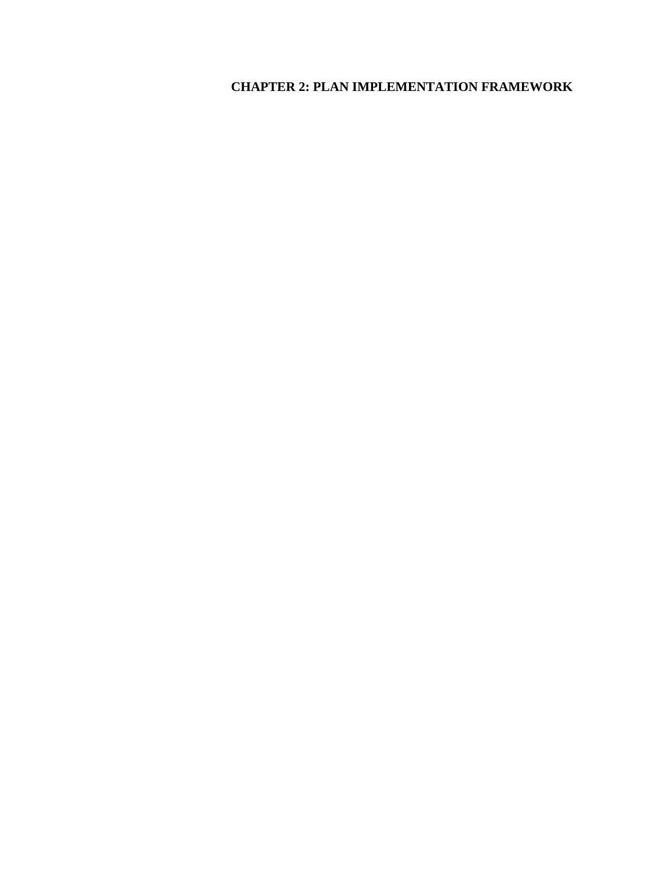# **CHAPTER 2: PLAN IMPLEMENTATION FRAMEWORK**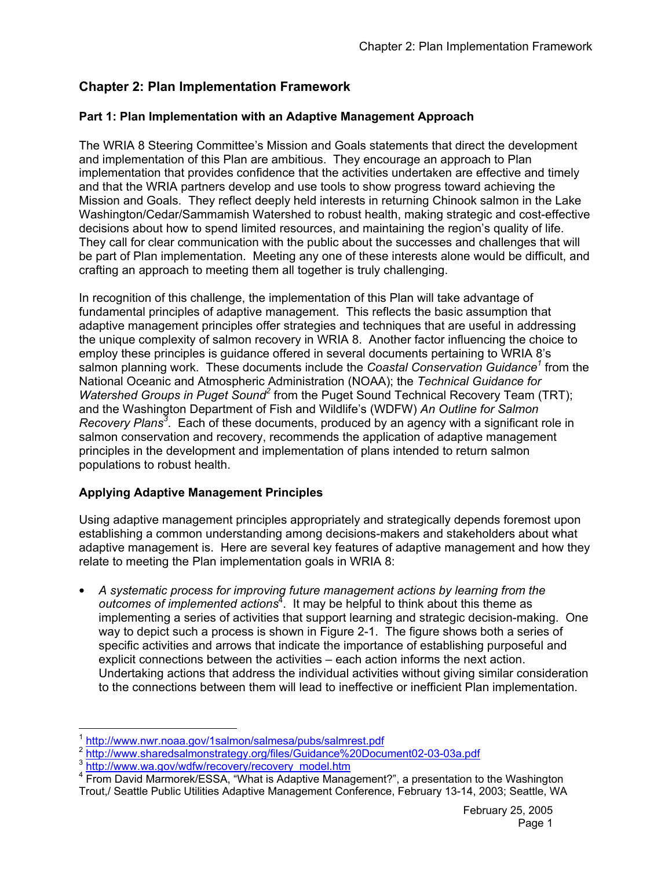# **Chapter 2: Plan Implementation Framework**

## **Part 1: Plan Implementation with an Adaptive Management Approach**

The WRIA 8 Steering Committee's Mission and Goals statements that direct the development and implementation of this Plan are ambitious. They encourage an approach to Plan implementation that provides confidence that the activities undertaken are effective and timely and that the WRIA partners develop and use tools to show progress toward achieving the Mission and Goals. They reflect deeply held interests in returning Chinook salmon in the Lake Washington/Cedar/Sammamish Watershed to robust health, making strategic and cost-effective decisions about how to spend limited resources, and maintaining the region's quality of life. They call for clear communication with the public about the successes and challenges that will be part of Plan implementation. Meeting any one of these interests alone would be difficult, and crafting an approach to meeting them all together is truly challenging.

In recognition of this challenge, the implementation of this Plan will take advantage of fundamental principles of adaptive management. This reflects the basic assumption that adaptive management principles offer strategies and techniques that are useful in addressing the unique complexity of salmon recovery in WRIA 8. Another factor influencing the choice to employ these principles is guidance offered in several documents pertaining to WRIA 8's salmon planning work. These documents include the *Coastal Conservation Guidance<sup>1</sup>* from the National Oceanic and Atmospheric Administration (NOAA); the *Technical Guidance for*  Watershed Groups in Puget Sound<sup>2</sup> from the Puget Sound Technical Recovery Team (TRT); and the Washington Department of Fish and Wildlife's (WDFW) *An Outline for Salmon Recovery Plans<sup>3</sup>* . Each of these documents, produced by an agency with a significant role in salmon conservation and recovery, recommends the application of adaptive management principles in the development and implementation of plans intended to return salmon populations to robust health.

## **Applying Adaptive Management Principles**

Using adaptive management principles appropriately and strategically depends foremost upon establishing a common understanding among decisions-makers and stakeholders about what adaptive management is. Here are several key features of adaptive management and how they relate to meeting the Plan implementation goals in WRIA 8:

• *A systematic process for improving future management actions by learning from the*  outcomes of implemented actions<sup>4</sup>. It may be helpful to think about this theme as implementing a series of activities that support learning and strategic decision-making. One way to depict such a process is shown in Figure 2-1. The figure shows both a series of specific activities and arrows that indicate the importance of establishing purposeful and explicit connections between the activities – each action informs the next action. Undertaking actions that address the individual activities without giving similar consideration to the connections between them will lead to ineffective or inefficient Plan implementation.

 $\overline{a}$ 

 $\frac{1}{2} \frac{\text{http://www.nwr.noaa.gov/1salmon/salmesa/pubs/salmrest.pdf}}{\text{http://www.sharedsalmonstrategy.org/files/Guidance%20Document02-03-03a.pdf}}$ 

<sup>&</sup>lt;sup>4</sup> From David Marmorek/ESSA, "What is Adaptive Management?", a presentation to the Washington Trout,/ Seattle Public Utilities Adaptive Management Conference, February 13-14, 2003; Seattle, WA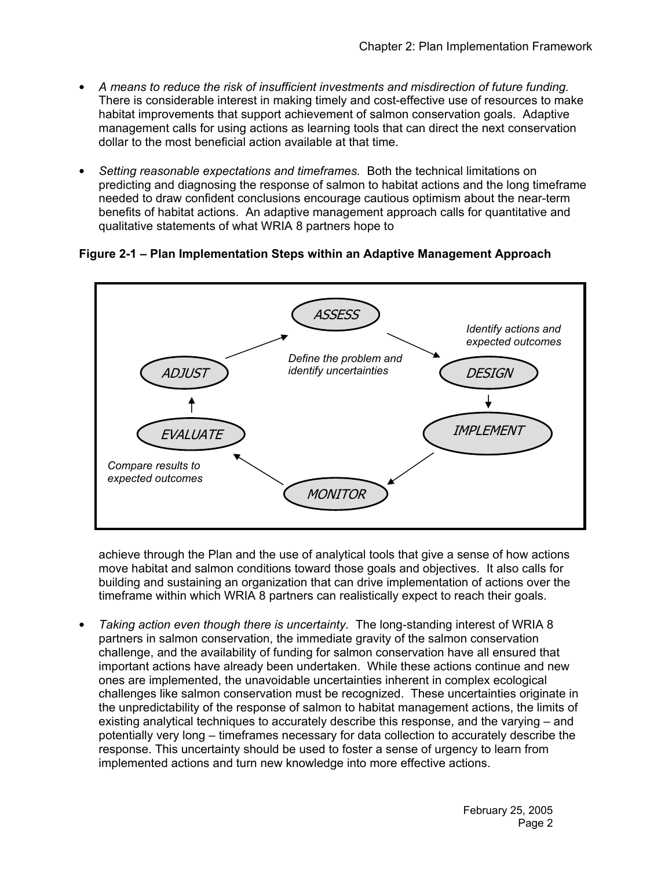- *A means to reduce the risk of insufficient investments and misdirection of future funding.*  There is considerable interest in making timely and cost-effective use of resources to make habitat improvements that support achievement of salmon conservation goals. Adaptive management calls for using actions as learning tools that can direct the next conservation dollar to the most beneficial action available at that time.
- *Setting reasonable expectations and timeframes.* Both the technical limitations on predicting and diagnosing the response of salmon to habitat actions and the long timeframe needed to draw confident conclusions encourage cautious optimism about the near-term benefits of habitat actions. An adaptive management approach calls for quantitative and qualitative statements of what WRIA 8 partners hope to

## **Figure 2-1 – Plan Implementation Steps within an Adaptive Management Approach**



achieve through the Plan and the use of analytical tools that give a sense of how actions move habitat and salmon conditions toward those goals and objectives. It also calls for building and sustaining an organization that can drive implementation of actions over the timeframe within which WRIA 8 partners can realistically expect to reach their goals.

• *Taking action even though there is uncertainty.* The long-standing interest of WRIA 8 partners in salmon conservation, the immediate gravity of the salmon conservation challenge, and the availability of funding for salmon conservation have all ensured that important actions have already been undertaken. While these actions continue and new ones are implemented, the unavoidable uncertainties inherent in complex ecological challenges like salmon conservation must be recognized. These uncertainties originate in the unpredictability of the response of salmon to habitat management actions, the limits of existing analytical techniques to accurately describe this response, and the varying – and potentially very long – timeframes necessary for data collection to accurately describe the response. This uncertainty should be used to foster a sense of urgency to learn from implemented actions and turn new knowledge into more effective actions.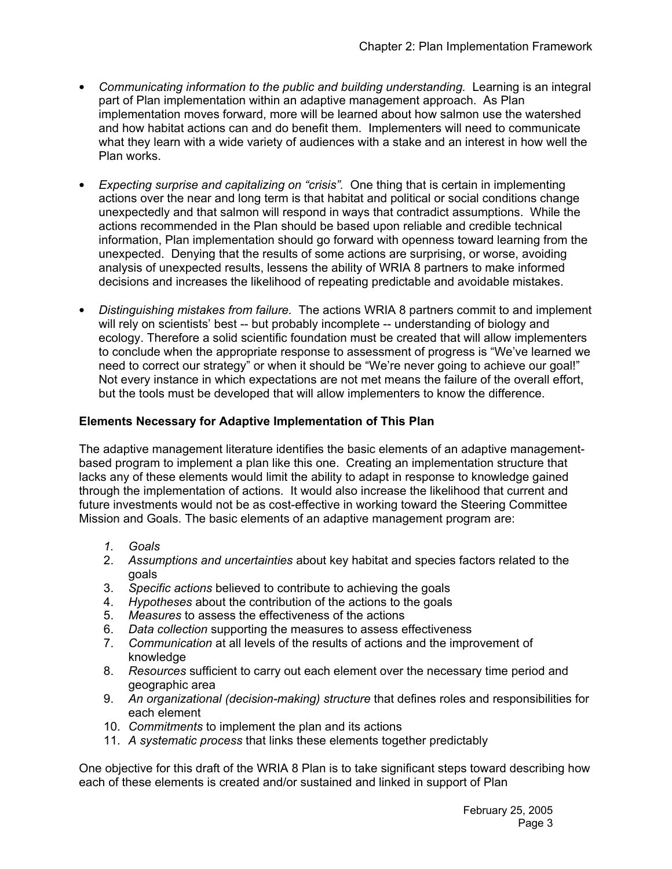- *Communicating information to the public and building understanding.* Learning is an integral part of Plan implementation within an adaptive management approach. As Plan implementation moves forward, more will be learned about how salmon use the watershed and how habitat actions can and do benefit them. Implementers will need to communicate what they learn with a wide variety of audiences with a stake and an interest in how well the Plan works.
- *Expecting surprise and capitalizing on "crisis".* One thing that is certain in implementing actions over the near and long term is that habitat and political or social conditions change unexpectedly and that salmon will respond in ways that contradict assumptions. While the actions recommended in the Plan should be based upon reliable and credible technical information, Plan implementation should go forward with openness toward learning from the unexpected. Denying that the results of some actions are surprising, or worse, avoiding analysis of unexpected results, lessens the ability of WRIA 8 partners to make informed decisions and increases the likelihood of repeating predictable and avoidable mistakes.
- *Distinguishing mistakes from failure.* The actions WRIA 8 partners commit to and implement will rely on scientists' best -- but probably incomplete -- understanding of biology and ecology. Therefore a solid scientific foundation must be created that will allow implementers to conclude when the appropriate response to assessment of progress is "We've learned we need to correct our strategy" or when it should be "We're never going to achieve our goal!" Not every instance in which expectations are not met means the failure of the overall effort, but the tools must be developed that will allow implementers to know the difference.

## **Elements Necessary for Adaptive Implementation of This Plan**

The adaptive management literature identifies the basic elements of an adaptive managementbased program to implement a plan like this one. Creating an implementation structure that lacks any of these elements would limit the ability to adapt in response to knowledge gained through the implementation of actions. It would also increase the likelihood that current and future investments would not be as cost-effective in working toward the Steering Committee Mission and Goals. The basic elements of an adaptive management program are:

- *1. Goals*
- 2. *Assumptions and uncertainties* about key habitat and species factors related to the goals
- 3. *Specific actions* believed to contribute to achieving the goals
- 4. *Hypotheses* about the contribution of the actions to the goals
- 5. *Measures* to assess the effectiveness of the actions
- 6. *Data collection* supporting the measures to assess effectiveness
- 7. *Communication* at all levels of the results of actions and the improvement of knowledge
- 8. *Resources* sufficient to carry out each element over the necessary time period and geographic area
- 9. *An organizational (decision-making) structure* that defines roles and responsibilities for each element
- 10. *Commitments* to implement the plan and its actions
- 11. *A systematic process* that links these elements together predictably

One objective for this draft of the WRIA 8 Plan is to take significant steps toward describing how each of these elements is created and/or sustained and linked in support of Plan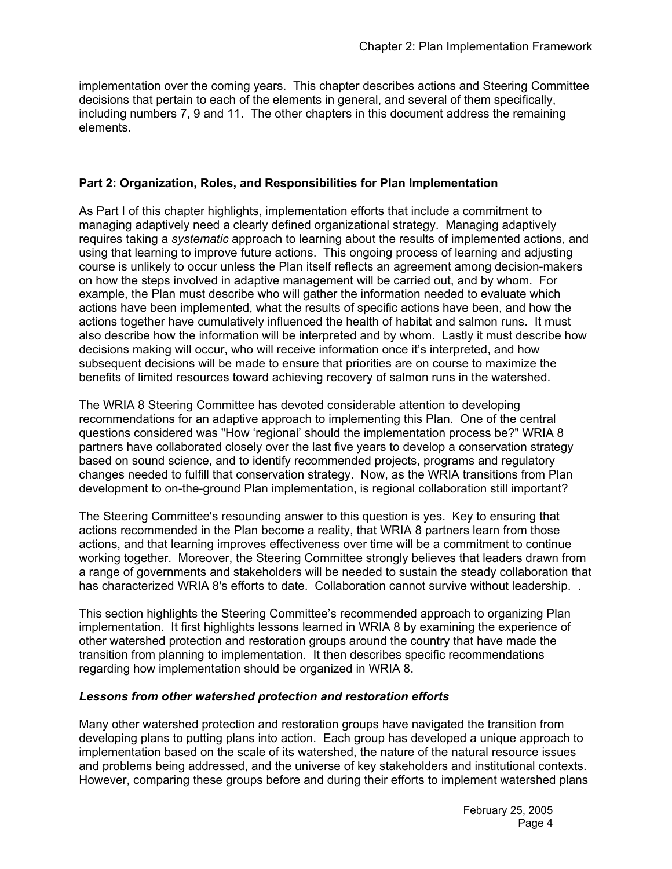implementation over the coming years. This chapter describes actions and Steering Committee decisions that pertain to each of the elements in general, and several of them specifically, including numbers 7, 9 and 11. The other chapters in this document address the remaining elements.

#### **Part 2: Organization, Roles, and Responsibilities for Plan Implementation**

As Part I of this chapter highlights, implementation efforts that include a commitment to managing adaptively need a clearly defined organizational strategy. Managing adaptively requires taking a *systematic* approach to learning about the results of implemented actions, and using that learning to improve future actions. This ongoing process of learning and adjusting course is unlikely to occur unless the Plan itself reflects an agreement among decision-makers on how the steps involved in adaptive management will be carried out, and by whom. For example, the Plan must describe who will gather the information needed to evaluate which actions have been implemented, what the results of specific actions have been, and how the actions together have cumulatively influenced the health of habitat and salmon runs. It must also describe how the information will be interpreted and by whom. Lastly it must describe how decisions making will occur, who will receive information once it's interpreted, and how subsequent decisions will be made to ensure that priorities are on course to maximize the benefits of limited resources toward achieving recovery of salmon runs in the watershed.

The WRIA 8 Steering Committee has devoted considerable attention to developing recommendations for an adaptive approach to implementing this Plan. One of the central questions considered was "How 'regional' should the implementation process be?" WRIA 8 partners have collaborated closely over the last five years to develop a conservation strategy based on sound science, and to identify recommended projects, programs and regulatory changes needed to fulfill that conservation strategy. Now, as the WRIA transitions from Plan development to on-the-ground Plan implementation, is regional collaboration still important?

The Steering Committee's resounding answer to this question is yes. Key to ensuring that actions recommended in the Plan become a reality, that WRIA 8 partners learn from those actions, and that learning improves effectiveness over time will be a commitment to continue working together. Moreover, the Steering Committee strongly believes that leaders drawn from a range of governments and stakeholders will be needed to sustain the steady collaboration that has characterized WRIA 8's efforts to date. Collaboration cannot survive without leadership. .

This section highlights the Steering Committee's recommended approach to organizing Plan implementation. It first highlights lessons learned in WRIA 8 by examining the experience of other watershed protection and restoration groups around the country that have made the transition from planning to implementation. It then describes specific recommendations regarding how implementation should be organized in WRIA 8.

#### *Lessons from other watershed protection and restoration efforts*

Many other watershed protection and restoration groups have navigated the transition from developing plans to putting plans into action. Each group has developed a unique approach to implementation based on the scale of its watershed, the nature of the natural resource issues and problems being addressed, and the universe of key stakeholders and institutional contexts. However, comparing these groups before and during their efforts to implement watershed plans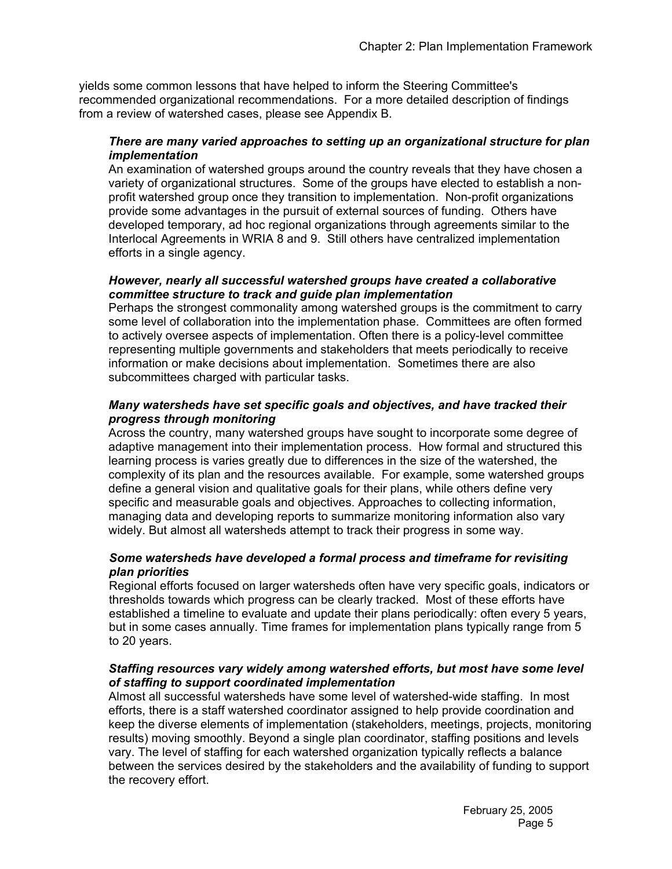yields some common lessons that have helped to inform the Steering Committee's recommended organizational recommendations. For a more detailed description of findings from a review of watershed cases, please see Appendix B.

#### *There are many varied approaches to setting up an organizational structure for plan implementation*

An examination of watershed groups around the country reveals that they have chosen a variety of organizational structures. Some of the groups have elected to establish a nonprofit watershed group once they transition to implementation. Non-profit organizations provide some advantages in the pursuit of external sources of funding. Others have developed temporary, ad hoc regional organizations through agreements similar to the Interlocal Agreements in WRIA 8 and 9. Still others have centralized implementation efforts in a single agency.

#### *However, nearly all successful watershed groups have created a collaborative committee structure to track and guide plan implementation*

Perhaps the strongest commonality among watershed groups is the commitment to carry some level of collaboration into the implementation phase. Committees are often formed to actively oversee aspects of implementation. Often there is a policy-level committee representing multiple governments and stakeholders that meets periodically to receive information or make decisions about implementation. Sometimes there are also subcommittees charged with particular tasks.

#### *Many watersheds have set specific goals and objectives, and have tracked their progress through monitoring*

Across the country, many watershed groups have sought to incorporate some degree of adaptive management into their implementation process. How formal and structured this learning process is varies greatly due to differences in the size of the watershed, the complexity of its plan and the resources available. For example, some watershed groups define a general vision and qualitative goals for their plans, while others define very specific and measurable goals and objectives. Approaches to collecting information, managing data and developing reports to summarize monitoring information also vary widely. But almost all watersheds attempt to track their progress in some way.

#### *Some watersheds have developed a formal process and timeframe for revisiting plan priorities*

Regional efforts focused on larger watersheds often have very specific goals, indicators or thresholds towards which progress can be clearly tracked. Most of these efforts have established a timeline to evaluate and update their plans periodically: often every 5 years, but in some cases annually. Time frames for implementation plans typically range from 5 to 20 years.

#### *Staffing resources vary widely among watershed efforts, but most have some level of staffing to support coordinated implementation*

Almost all successful watersheds have some level of watershed-wide staffing. In most efforts, there is a staff watershed coordinator assigned to help provide coordination and keep the diverse elements of implementation (stakeholders, meetings, projects, monitoring results) moving smoothly. Beyond a single plan coordinator, staffing positions and levels vary. The level of staffing for each watershed organization typically reflects a balance between the services desired by the stakeholders and the availability of funding to support the recovery effort.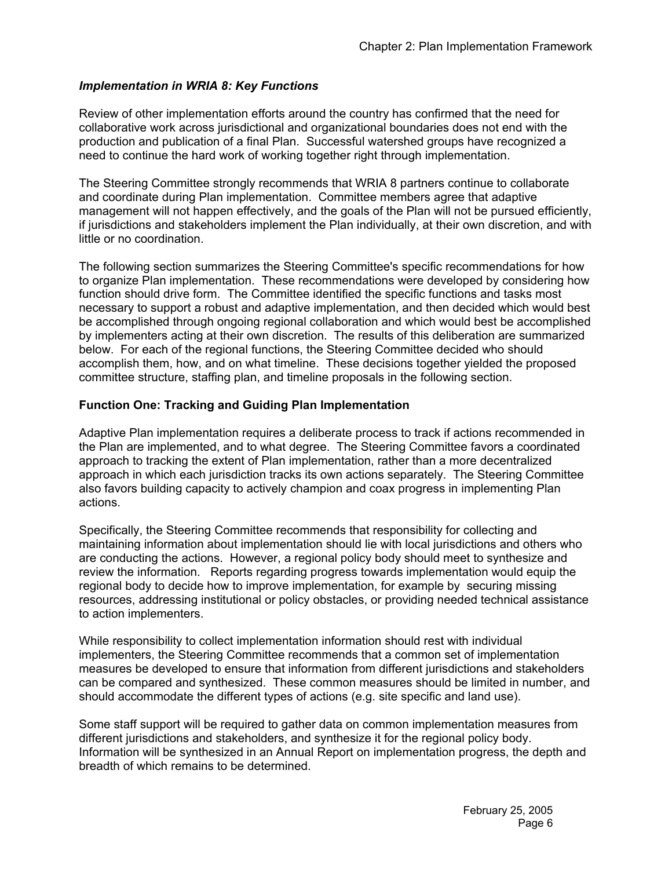## *Implementation in WRIA 8: Key Functions*

Review of other implementation efforts around the country has confirmed that the need for collaborative work across jurisdictional and organizational boundaries does not end with the production and publication of a final Plan. Successful watershed groups have recognized a need to continue the hard work of working together right through implementation.

The Steering Committee strongly recommends that WRIA 8 partners continue to collaborate and coordinate during Plan implementation. Committee members agree that adaptive management will not happen effectively, and the goals of the Plan will not be pursued efficiently, if jurisdictions and stakeholders implement the Plan individually, at their own discretion, and with little or no coordination.

The following section summarizes the Steering Committee's specific recommendations for how to organize Plan implementation. These recommendations were developed by considering how function should drive form. The Committee identified the specific functions and tasks most necessary to support a robust and adaptive implementation, and then decided which would best be accomplished through ongoing regional collaboration and which would best be accomplished by implementers acting at their own discretion. The results of this deliberation are summarized below. For each of the regional functions, the Steering Committee decided who should accomplish them, how, and on what timeline. These decisions together yielded the proposed committee structure, staffing plan, and timeline proposals in the following section.

## **Function One: Tracking and Guiding Plan Implementation**

Adaptive Plan implementation requires a deliberate process to track if actions recommended in the Plan are implemented, and to what degree. The Steering Committee favors a coordinated approach to tracking the extent of Plan implementation, rather than a more decentralized approach in which each jurisdiction tracks its own actions separately. The Steering Committee also favors building capacity to actively champion and coax progress in implementing Plan actions.

Specifically, the Steering Committee recommends that responsibility for collecting and maintaining information about implementation should lie with local jurisdictions and others who are conducting the actions. However, a regional policy body should meet to synthesize and review the information. Reports regarding progress towards implementation would equip the regional body to decide how to improve implementation, for example by securing missing resources, addressing institutional or policy obstacles, or providing needed technical assistance to action implementers.

While responsibility to collect implementation information should rest with individual implementers, the Steering Committee recommends that a common set of implementation measures be developed to ensure that information from different jurisdictions and stakeholders can be compared and synthesized. These common measures should be limited in number, and should accommodate the different types of actions (e.g. site specific and land use).

Some staff support will be required to gather data on common implementation measures from different jurisdictions and stakeholders, and synthesize it for the regional policy body. Information will be synthesized in an Annual Report on implementation progress, the depth and breadth of which remains to be determined.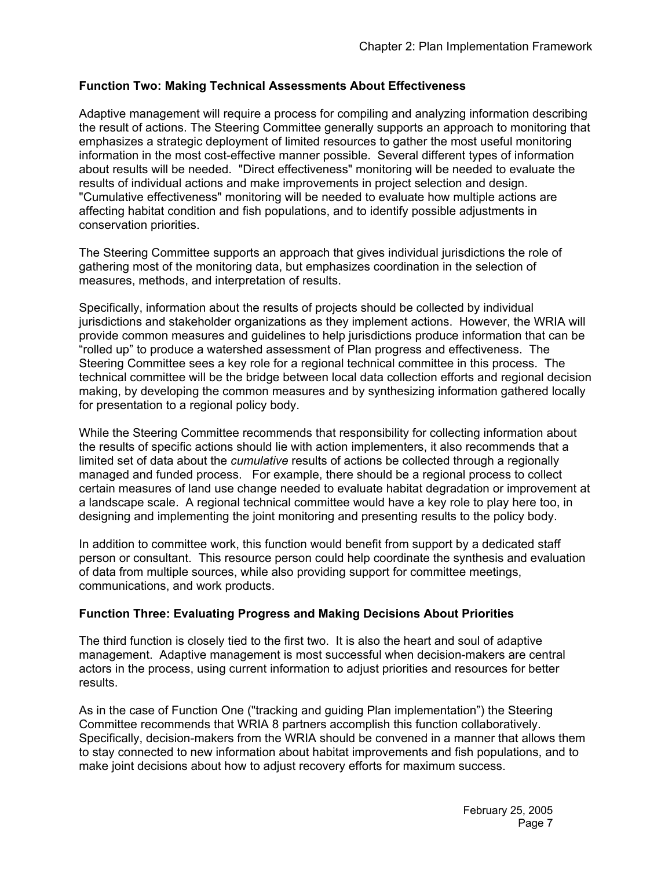## **Function Two: Making Technical Assessments About Effectiveness**

Adaptive management will require a process for compiling and analyzing information describing the result of actions. The Steering Committee generally supports an approach to monitoring that emphasizes a strategic deployment of limited resources to gather the most useful monitoring information in the most cost-effective manner possible. Several different types of information about results will be needed. "Direct effectiveness" monitoring will be needed to evaluate the results of individual actions and make improvements in project selection and design. "Cumulative effectiveness" monitoring will be needed to evaluate how multiple actions are affecting habitat condition and fish populations, and to identify possible adjustments in conservation priorities.

The Steering Committee supports an approach that gives individual jurisdictions the role of gathering most of the monitoring data, but emphasizes coordination in the selection of measures, methods, and interpretation of results.

Specifically, information about the results of projects should be collected by individual jurisdictions and stakeholder organizations as they implement actions. However, the WRIA will provide common measures and guidelines to help jurisdictions produce information that can be "rolled up" to produce a watershed assessment of Plan progress and effectiveness. The Steering Committee sees a key role for a regional technical committee in this process. The technical committee will be the bridge between local data collection efforts and regional decision making, by developing the common measures and by synthesizing information gathered locally for presentation to a regional policy body.

While the Steering Committee recommends that responsibility for collecting information about the results of specific actions should lie with action implementers, it also recommends that a limited set of data about the *cumulative* results of actions be collected through a regionally managed and funded process. For example, there should be a regional process to collect certain measures of land use change needed to evaluate habitat degradation or improvement at a landscape scale. A regional technical committee would have a key role to play here too, in designing and implementing the joint monitoring and presenting results to the policy body.

In addition to committee work, this function would benefit from support by a dedicated staff person or consultant. This resource person could help coordinate the synthesis and evaluation of data from multiple sources, while also providing support for committee meetings, communications, and work products.

#### **Function Three: Evaluating Progress and Making Decisions About Priorities**

The third function is closely tied to the first two. It is also the heart and soul of adaptive management. Adaptive management is most successful when decision-makers are central actors in the process, using current information to adjust priorities and resources for better results.

As in the case of Function One ("tracking and guiding Plan implementation") the Steering Committee recommends that WRIA 8 partners accomplish this function collaboratively. Specifically, decision-makers from the WRIA should be convened in a manner that allows them to stay connected to new information about habitat improvements and fish populations, and to make joint decisions about how to adjust recovery efforts for maximum success.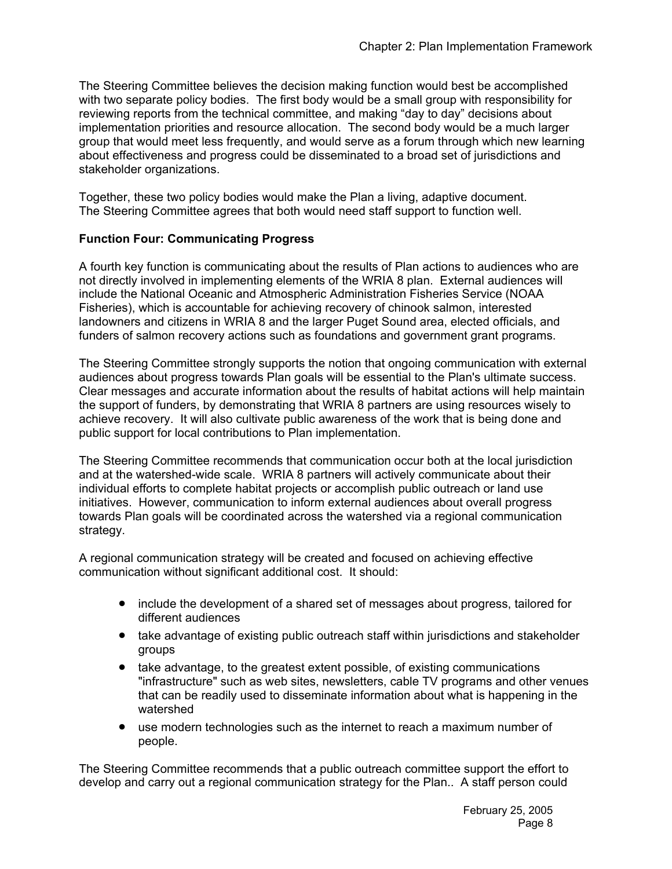The Steering Committee believes the decision making function would best be accomplished with two separate policy bodies. The first body would be a small group with responsibility for reviewing reports from the technical committee, and making "day to day" decisions about implementation priorities and resource allocation. The second body would be a much larger group that would meet less frequently, and would serve as a forum through which new learning about effectiveness and progress could be disseminated to a broad set of jurisdictions and stakeholder organizations.

Together, these two policy bodies would make the Plan a living, adaptive document. The Steering Committee agrees that both would need staff support to function well.

## **Function Four: Communicating Progress**

A fourth key function is communicating about the results of Plan actions to audiences who are not directly involved in implementing elements of the WRIA 8 plan. External audiences will include the National Oceanic and Atmospheric Administration Fisheries Service (NOAA Fisheries), which is accountable for achieving recovery of chinook salmon, interested landowners and citizens in WRIA 8 and the larger Puget Sound area, elected officials, and funders of salmon recovery actions such as foundations and government grant programs.

The Steering Committee strongly supports the notion that ongoing communication with external audiences about progress towards Plan goals will be essential to the Plan's ultimate success. Clear messages and accurate information about the results of habitat actions will help maintain the support of funders, by demonstrating that WRIA 8 partners are using resources wisely to achieve recovery. It will also cultivate public awareness of the work that is being done and public support for local contributions to Plan implementation.

The Steering Committee recommends that communication occur both at the local jurisdiction and at the watershed-wide scale. WRIA 8 partners will actively communicate about their individual efforts to complete habitat projects or accomplish public outreach or land use initiatives. However, communication to inform external audiences about overall progress towards Plan goals will be coordinated across the watershed via a regional communication strategy.

A regional communication strategy will be created and focused on achieving effective communication without significant additional cost. It should:

- include the development of a shared set of messages about progress, tailored for different audiences
- take advantage of existing public outreach staff within jurisdictions and stakeholder groups
- take advantage, to the greatest extent possible, of existing communications "infrastructure" such as web sites, newsletters, cable TV programs and other venues that can be readily used to disseminate information about what is happening in the watershed
- use modern technologies such as the internet to reach a maximum number of people.

The Steering Committee recommends that a public outreach committee support the effort to develop and carry out a regional communication strategy for the Plan.. A staff person could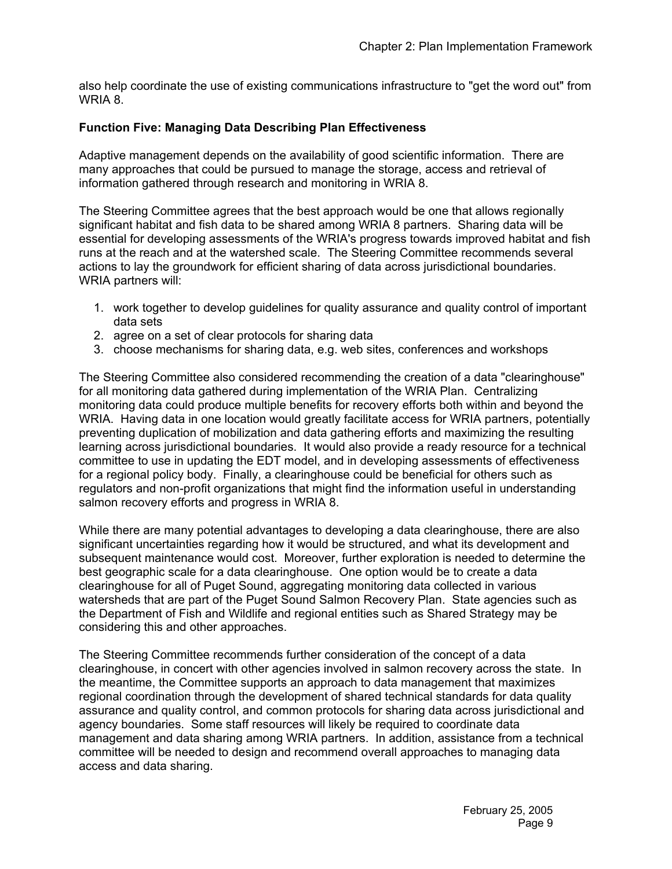also help coordinate the use of existing communications infrastructure to "get the word out" from WRIA 8.

#### **Function Five: Managing Data Describing Plan Effectiveness**

Adaptive management depends on the availability of good scientific information. There are many approaches that could be pursued to manage the storage, access and retrieval of information gathered through research and monitoring in WRIA 8.

The Steering Committee agrees that the best approach would be one that allows regionally significant habitat and fish data to be shared among WRIA 8 partners. Sharing data will be essential for developing assessments of the WRIA's progress towards improved habitat and fish runs at the reach and at the watershed scale. The Steering Committee recommends several actions to lay the groundwork for efficient sharing of data across jurisdictional boundaries. WRIA partners will:

- 1. work together to develop guidelines for quality assurance and quality control of important data sets
- 2. agree on a set of clear protocols for sharing data
- 3. choose mechanisms for sharing data, e.g. web sites, conferences and workshops

The Steering Committee also considered recommending the creation of a data "clearinghouse" for all monitoring data gathered during implementation of the WRIA Plan. Centralizing monitoring data could produce multiple benefits for recovery efforts both within and beyond the WRIA. Having data in one location would greatly facilitate access for WRIA partners, potentially preventing duplication of mobilization and data gathering efforts and maximizing the resulting learning across jurisdictional boundaries. It would also provide a ready resource for a technical committee to use in updating the EDT model, and in developing assessments of effectiveness for a regional policy body. Finally, a clearinghouse could be beneficial for others such as regulators and non-profit organizations that might find the information useful in understanding salmon recovery efforts and progress in WRIA 8.

While there are many potential advantages to developing a data clearinghouse, there are also significant uncertainties regarding how it would be structured, and what its development and subsequent maintenance would cost. Moreover, further exploration is needed to determine the best geographic scale for a data clearinghouse. One option would be to create a data clearinghouse for all of Puget Sound, aggregating monitoring data collected in various watersheds that are part of the Puget Sound Salmon Recovery Plan. State agencies such as the Department of Fish and Wildlife and regional entities such as Shared Strategy may be considering this and other approaches.

The Steering Committee recommends further consideration of the concept of a data clearinghouse, in concert with other agencies involved in salmon recovery across the state. In the meantime, the Committee supports an approach to data management that maximizes regional coordination through the development of shared technical standards for data quality assurance and quality control, and common protocols for sharing data across jurisdictional and agency boundaries. Some staff resources will likely be required to coordinate data management and data sharing among WRIA partners. In addition, assistance from a technical committee will be needed to design and recommend overall approaches to managing data access and data sharing.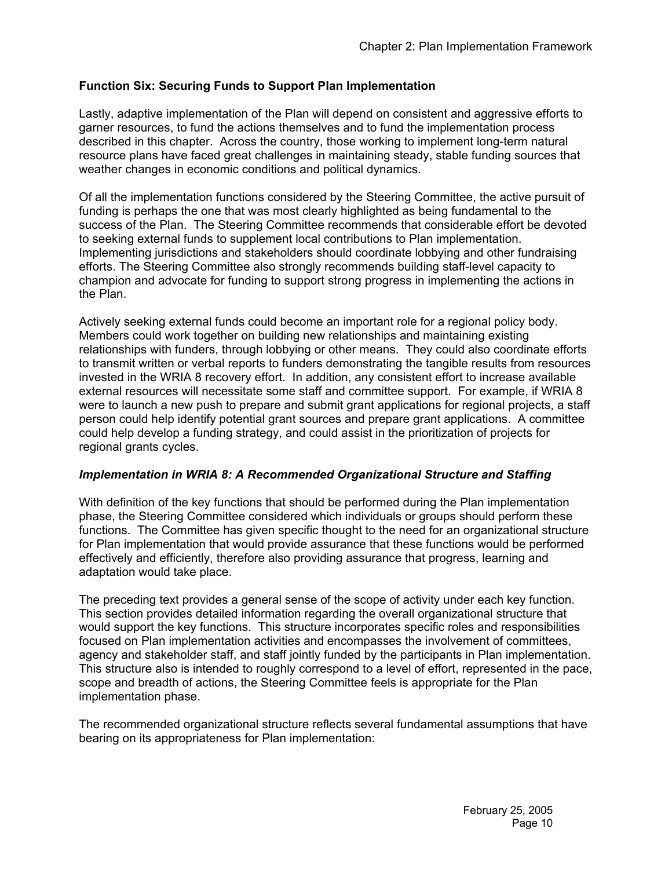## **Function Six: Securing Funds to Support Plan Implementation**

Lastly, adaptive implementation of the Plan will depend on consistent and aggressive efforts to garner resources, to fund the actions themselves and to fund the implementation process described in this chapter. Across the country, those working to implement long-term natural resource plans have faced great challenges in maintaining steady, stable funding sources that weather changes in economic conditions and political dynamics.

Of all the implementation functions considered by the Steering Committee, the active pursuit of funding is perhaps the one that was most clearly highlighted as being fundamental to the success of the Plan. The Steering Committee recommends that considerable effort be devoted to seeking external funds to supplement local contributions to Plan implementation. Implementing jurisdictions and stakeholders should coordinate lobbying and other fundraising efforts. The Steering Committee also strongly recommends building staff-level capacity to champion and advocate for funding to support strong progress in implementing the actions in the Plan.

Actively seeking external funds could become an important role for a regional policy body. Members could work together on building new relationships and maintaining existing relationships with funders, through lobbying or other means. They could also coordinate efforts to transmit written or verbal reports to funders demonstrating the tangible results from resources invested in the WRIA 8 recovery effort. In addition, any consistent effort to increase available external resources will necessitate some staff and committee support. For example, if WRIA 8 were to launch a new push to prepare and submit grant applications for regional projects, a staff person could help identify potential grant sources and prepare grant applications. A committee could help develop a funding strategy, and could assist in the prioritization of projects for regional grants cycles.

#### *Implementation in WRIA 8: A Recommended Organizational Structure and Staffing*

With definition of the key functions that should be performed during the Plan implementation phase, the Steering Committee considered which individuals or groups should perform these functions. The Committee has given specific thought to the need for an organizational structure for Plan implementation that would provide assurance that these functions would be performed effectively and efficiently, therefore also providing assurance that progress, learning and adaptation would take place.

The preceding text provides a general sense of the scope of activity under each key function. This section provides detailed information regarding the overall organizational structure that would support the key functions. This structure incorporates specific roles and responsibilities focused on Plan implementation activities and encompasses the involvement of committees, agency and stakeholder staff, and staff jointly funded by the participants in Plan implementation. This structure also is intended to roughly correspond to a level of effort, represented in the pace, scope and breadth of actions, the Steering Committee feels is appropriate for the Plan implementation phase.

The recommended organizational structure reflects several fundamental assumptions that have bearing on its appropriateness for Plan implementation: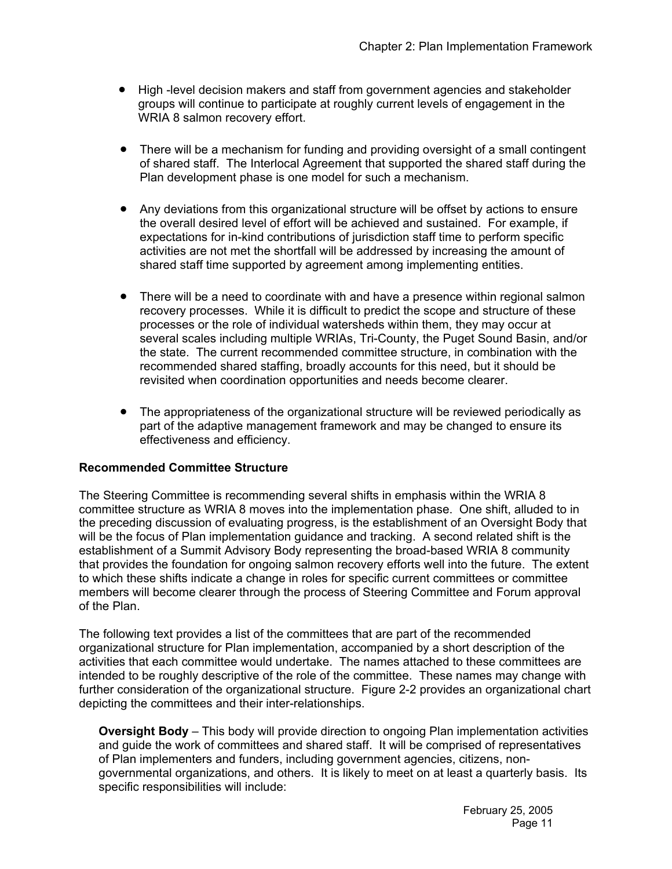- High -level decision makers and staff from government agencies and stakeholder groups will continue to participate at roughly current levels of engagement in the WRIA 8 salmon recovery effort.
- There will be a mechanism for funding and providing oversight of a small contingent of shared staff. The Interlocal Agreement that supported the shared staff during the Plan development phase is one model for such a mechanism.
- Any deviations from this organizational structure will be offset by actions to ensure the overall desired level of effort will be achieved and sustained. For example, if expectations for in-kind contributions of jurisdiction staff time to perform specific activities are not met the shortfall will be addressed by increasing the amount of shared staff time supported by agreement among implementing entities.
- There will be a need to coordinate with and have a presence within regional salmon recovery processes. While it is difficult to predict the scope and structure of these processes or the role of individual watersheds within them, they may occur at several scales including multiple WRIAs, Tri-County, the Puget Sound Basin, and/or the state. The current recommended committee structure, in combination with the recommended shared staffing, broadly accounts for this need, but it should be revisited when coordination opportunities and needs become clearer.
- The appropriateness of the organizational structure will be reviewed periodically as part of the adaptive management framework and may be changed to ensure its effectiveness and efficiency.

## **Recommended Committee Structure**

The Steering Committee is recommending several shifts in emphasis within the WRIA 8 committee structure as WRIA 8 moves into the implementation phase. One shift, alluded to in the preceding discussion of evaluating progress, is the establishment of an Oversight Body that will be the focus of Plan implementation guidance and tracking. A second related shift is the establishment of a Summit Advisory Body representing the broad-based WRIA 8 community that provides the foundation for ongoing salmon recovery efforts well into the future. The extent to which these shifts indicate a change in roles for specific current committees or committee members will become clearer through the process of Steering Committee and Forum approval of the Plan.

The following text provides a list of the committees that are part of the recommended organizational structure for Plan implementation, accompanied by a short description of the activities that each committee would undertake. The names attached to these committees are intended to be roughly descriptive of the role of the committee. These names may change with further consideration of the organizational structure. Figure 2-2 provides an organizational chart depicting the committees and their inter-relationships.

**Oversight Body** – This body will provide direction to ongoing Plan implementation activities and guide the work of committees and shared staff. It will be comprised of representatives of Plan implementers and funders, including government agencies, citizens, nongovernmental organizations, and others. It is likely to meet on at least a quarterly basis. Its specific responsibilities will include: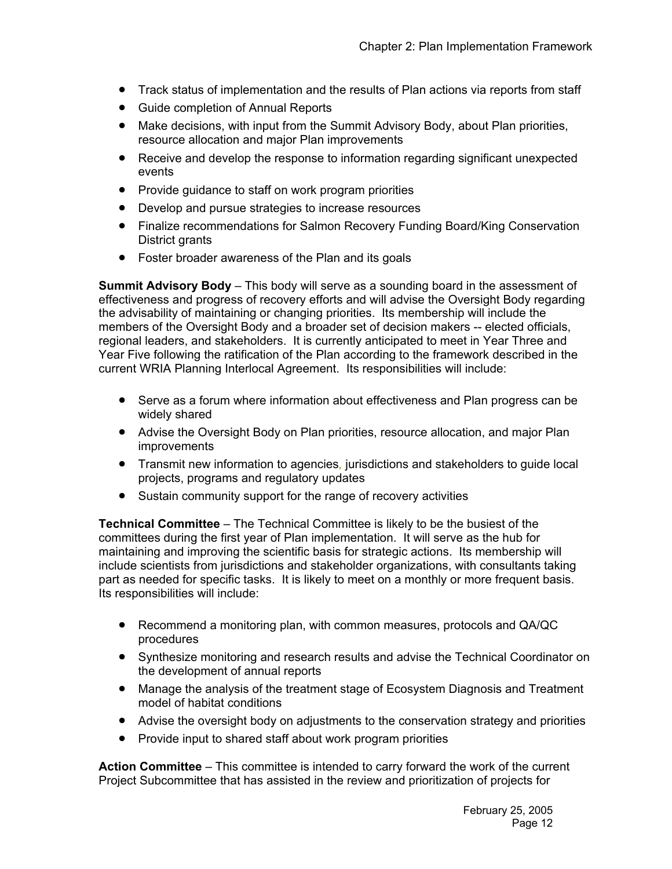- Track status of implementation and the results of Plan actions via reports from staff
- Guide completion of Annual Reports
- Make decisions, with input from the Summit Advisory Body, about Plan priorities, resource allocation and major Plan improvements
- Receive and develop the response to information regarding significant unexpected events
- Provide guidance to staff on work program priorities
- Develop and pursue strategies to increase resources
- Finalize recommendations for Salmon Recovery Funding Board/King Conservation District grants
- Foster broader awareness of the Plan and its goals

**Summit Advisory Body** – This body will serve as a sounding board in the assessment of effectiveness and progress of recovery efforts and will advise the Oversight Body regarding the advisability of maintaining or changing priorities. Its membership will include the members of the Oversight Body and a broader set of decision makers -- elected officials, regional leaders, and stakeholders. It is currently anticipated to meet in Year Three and Year Five following the ratification of the Plan according to the framework described in the current WRIA Planning Interlocal Agreement. Its responsibilities will include:

- Serve as a forum where information about effectiveness and Plan progress can be widely shared
- Advise the Oversight Body on Plan priorities, resource allocation, and major Plan improvements
- Transmit new information to agencies*,* jurisdictions and stakeholders to guide local projects, programs and regulatory updates
- Sustain community support for the range of recovery activities

**Technical Committee** – The Technical Committee is likely to be the busiest of the committees during the first year of Plan implementation. It will serve as the hub for maintaining and improving the scientific basis for strategic actions. Its membership will include scientists from jurisdictions and stakeholder organizations, with consultants taking part as needed for specific tasks. It is likely to meet on a monthly or more frequent basis. Its responsibilities will include:

- Recommend a monitoring plan, with common measures, protocols and QA/QC procedures
- Synthesize monitoring and research results and advise the Technical Coordinator on the development of annual reports
- Manage the analysis of the treatment stage of Ecosystem Diagnosis and Treatment model of habitat conditions
- Advise the oversight body on adjustments to the conservation strategy and priorities
- Provide input to shared staff about work program priorities

**Action Committee** – This committee is intended to carry forward the work of the current Project Subcommittee that has assisted in the review and prioritization of projects for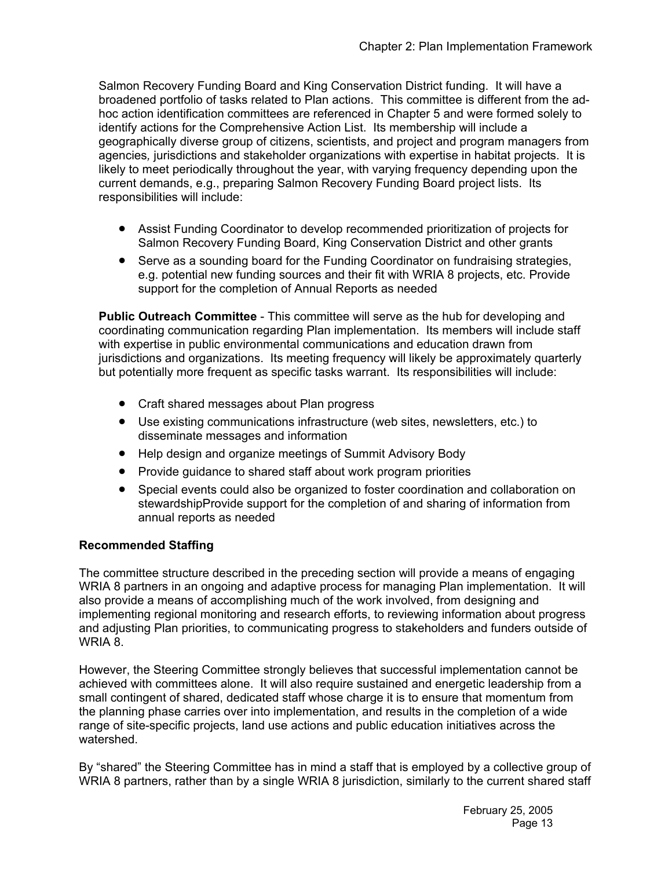Salmon Recovery Funding Board and King Conservation District funding. It will have a broadened portfolio of tasks related to Plan actions. This committee is different from the adhoc action identification committees are referenced in Chapter 5 and were formed solely to identify actions for the Comprehensive Action List. Its membership will include a geographically diverse group of citizens, scientists, and project and program managers from agencies*,* jurisdictions and stakeholder organizations with expertise in habitat projects. It is likely to meet periodically throughout the year, with varying frequency depending upon the current demands, e.g., preparing Salmon Recovery Funding Board project lists. Its responsibilities will include:

- Assist Funding Coordinator to develop recommended prioritization of projects for Salmon Recovery Funding Board, King Conservation District and other grants
- Serve as a sounding board for the Funding Coordinator on fundraising strategies, e.g. potential new funding sources and their fit with WRIA 8 projects, etc. Provide support for the completion of Annual Reports as needed

**Public Outreach Committee** - This committee will serve as the hub for developing and coordinating communication regarding Plan implementation. Its members will include staff with expertise in public environmental communications and education drawn from jurisdictions and organizations. Its meeting frequency will likely be approximately quarterly but potentially more frequent as specific tasks warrant. Its responsibilities will include:

- Craft shared messages about Plan progress
- Use existing communications infrastructure (web sites, newsletters, etc.) to disseminate messages and information
- Help design and organize meetings of Summit Advisory Body
- Provide guidance to shared staff about work program priorities
- Special events could also be organized to foster coordination and collaboration on stewardshipProvide support for the completion of and sharing of information from annual reports as needed

#### **Recommended Staffing**

The committee structure described in the preceding section will provide a means of engaging WRIA 8 partners in an ongoing and adaptive process for managing Plan implementation. It will also provide a means of accomplishing much of the work involved, from designing and implementing regional monitoring and research efforts, to reviewing information about progress and adjusting Plan priorities, to communicating progress to stakeholders and funders outside of WRIA 8.

However, the Steering Committee strongly believes that successful implementation cannot be achieved with committees alone. It will also require sustained and energetic leadership from a small contingent of shared, dedicated staff whose charge it is to ensure that momentum from the planning phase carries over into implementation, and results in the completion of a wide range of site-specific projects, land use actions and public education initiatives across the watershed.

By "shared" the Steering Committee has in mind a staff that is employed by a collective group of WRIA 8 partners, rather than by a single WRIA 8 jurisdiction, similarly to the current shared staff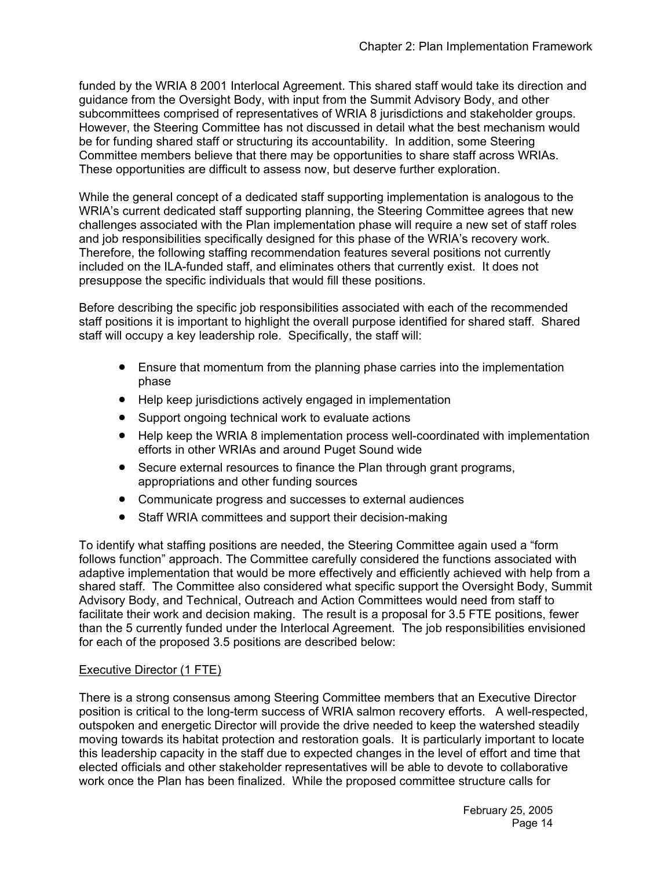funded by the WRIA 8 2001 Interlocal Agreement. This shared staff would take its direction and guidance from the Oversight Body, with input from the Summit Advisory Body, and other subcommittees comprised of representatives of WRIA 8 jurisdictions and stakeholder groups. However, the Steering Committee has not discussed in detail what the best mechanism would be for funding shared staff or structuring its accountability. In addition, some Steering Committee members believe that there may be opportunities to share staff across WRIAs. These opportunities are difficult to assess now, but deserve further exploration.

While the general concept of a dedicated staff supporting implementation is analogous to the WRIA's current dedicated staff supporting planning, the Steering Committee agrees that new challenges associated with the Plan implementation phase will require a new set of staff roles and job responsibilities specifically designed for this phase of the WRIA's recovery work. Therefore, the following staffing recommendation features several positions not currently included on the ILA-funded staff, and eliminates others that currently exist. It does not presuppose the specific individuals that would fill these positions.

Before describing the specific job responsibilities associated with each of the recommended staff positions it is important to highlight the overall purpose identified for shared staff. Shared staff will occupy a key leadership role. Specifically, the staff will:

- Ensure that momentum from the planning phase carries into the implementation phase
- Help keep jurisdictions actively engaged in implementation
- Support ongoing technical work to evaluate actions
- Help keep the WRIA 8 implementation process well-coordinated with implementation efforts in other WRIAs and around Puget Sound wide
- Secure external resources to finance the Plan through grant programs, appropriations and other funding sources
- Communicate progress and successes to external audiences
- Staff WRIA committees and support their decision-making

To identify what staffing positions are needed, the Steering Committee again used a "form follows function" approach. The Committee carefully considered the functions associated with adaptive implementation that would be more effectively and efficiently achieved with help from a shared staff. The Committee also considered what specific support the Oversight Body, Summit Advisory Body, and Technical, Outreach and Action Committees would need from staff to facilitate their work and decision making. The result is a proposal for 3.5 FTE positions, fewer than the 5 currently funded under the Interlocal Agreement. The job responsibilities envisioned for each of the proposed 3.5 positions are described below:

#### Executive Director (1 FTE)

There is a strong consensus among Steering Committee members that an Executive Director position is critical to the long-term success of WRIA salmon recovery efforts. A well-respected, outspoken and energetic Director will provide the drive needed to keep the watershed steadily moving towards its habitat protection and restoration goals. It is particularly important to locate this leadership capacity in the staff due to expected changes in the level of effort and time that elected officials and other stakeholder representatives will be able to devote to collaborative work once the Plan has been finalized. While the proposed committee structure calls for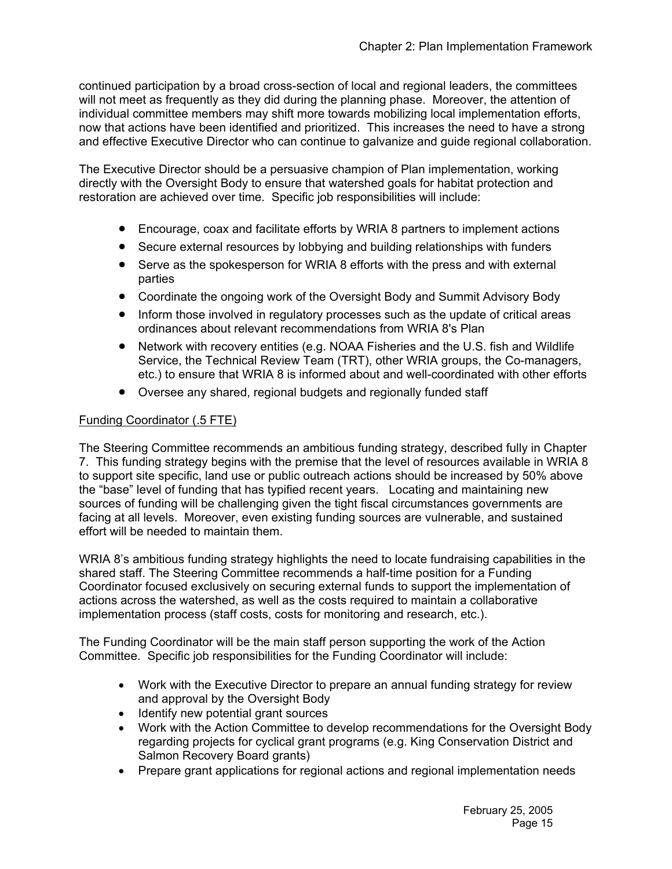continued participation by a broad cross-section of local and regional leaders, the committees will not meet as frequently as they did during the planning phase. Moreover, the attention of individual committee members may shift more towards mobilizing local implementation efforts, now that actions have been identified and prioritized. This increases the need to have a strong and effective Executive Director who can continue to galvanize and guide regional collaboration.

The Executive Director should be a persuasive champion of Plan implementation, working directly with the Oversight Body to ensure that watershed goals for habitat protection and restoration are achieved over time. Specific job responsibilities will include:

- Encourage, coax and facilitate efforts by WRIA 8 partners to implement actions
- Secure external resources by lobbying and building relationships with funders
- Serve as the spokesperson for WRIA 8 efforts with the press and with external parties
- Coordinate the ongoing work of the Oversight Body and Summit Advisory Body
- Inform those involved in regulatory processes such as the update of critical areas ordinances about relevant recommendations from WRIA 8's Plan
- Network with recovery entities (e.g. NOAA Fisheries and the U.S. fish and Wildlife Service, the Technical Review Team (TRT), other WRIA groups, the Co-managers, etc.) to ensure that WRIA 8 is informed about and well-coordinated with other efforts
- Oversee any shared, regional budgets and regionally funded staff

## Funding Coordinator (.5 FTE)

The Steering Committee recommends an ambitious funding strategy, described fully in Chapter 7. This funding strategy begins with the premise that the level of resources available in WRIA 8 to support site specific, land use or public outreach actions should be increased by 50% above the "base" level of funding that has typified recent years. Locating and maintaining new sources of funding will be challenging given the tight fiscal circumstances governments are facing at all levels. Moreover, even existing funding sources are vulnerable, and sustained effort will be needed to maintain them.

WRIA 8's ambitious funding strategy highlights the need to locate fundraising capabilities in the shared staff. The Steering Committee recommends a half-time position for a Funding Coordinator focused exclusively on securing external funds to support the implementation of actions across the watershed, as well as the costs required to maintain a collaborative implementation process (staff costs, costs for monitoring and research, etc.).

The Funding Coordinator will be the main staff person supporting the work of the Action Committee. Specific job responsibilities for the Funding Coordinator will include:

- Work with the Executive Director to prepare an annual funding strategy for review and approval by the Oversight Body
- Identify new potential grant sources
- Work with the Action Committee to develop recommendations for the Oversight Body regarding projects for cyclical grant programs (e.g. King Conservation District and Salmon Recovery Board grants)
- Prepare grant applications for regional actions and regional implementation needs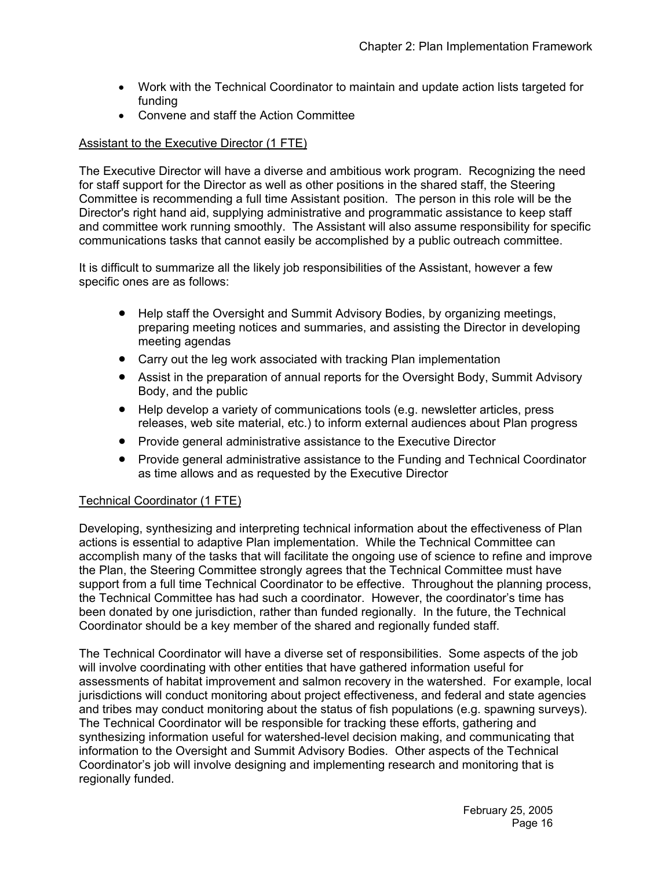- Work with the Technical Coordinator to maintain and update action lists targeted for funding
- Convene and staff the Action Committee

#### Assistant to the Executive Director (1 FTE)

The Executive Director will have a diverse and ambitious work program. Recognizing the need for staff support for the Director as well as other positions in the shared staff, the Steering Committee is recommending a full time Assistant position. The person in this role will be the Director's right hand aid, supplying administrative and programmatic assistance to keep staff and committee work running smoothly. The Assistant will also assume responsibility for specific communications tasks that cannot easily be accomplished by a public outreach committee.

It is difficult to summarize all the likely job responsibilities of the Assistant, however a few specific ones are as follows:

- Help staff the Oversight and Summit Advisory Bodies, by organizing meetings, preparing meeting notices and summaries, and assisting the Director in developing meeting agendas
- Carry out the leg work associated with tracking Plan implementation
- Assist in the preparation of annual reports for the Oversight Body, Summit Advisory Body, and the public
- Help develop a variety of communications tools (e.g. newsletter articles, press releases, web site material, etc.) to inform external audiences about Plan progress
- Provide general administrative assistance to the Executive Director
- Provide general administrative assistance to the Funding and Technical Coordinator as time allows and as requested by the Executive Director

#### Technical Coordinator (1 FTE)

Developing, synthesizing and interpreting technical information about the effectiveness of Plan actions is essential to adaptive Plan implementation. While the Technical Committee can accomplish many of the tasks that will facilitate the ongoing use of science to refine and improve the Plan, the Steering Committee strongly agrees that the Technical Committee must have support from a full time Technical Coordinator to be effective. Throughout the planning process, the Technical Committee has had such a coordinator. However, the coordinator's time has been donated by one jurisdiction, rather than funded regionally. In the future, the Technical Coordinator should be a key member of the shared and regionally funded staff.

The Technical Coordinator will have a diverse set of responsibilities. Some aspects of the job will involve coordinating with other entities that have gathered information useful for assessments of habitat improvement and salmon recovery in the watershed. For example, local jurisdictions will conduct monitoring about project effectiveness, and federal and state agencies and tribes may conduct monitoring about the status of fish populations (e.g. spawning surveys). The Technical Coordinator will be responsible for tracking these efforts, gathering and synthesizing information useful for watershed-level decision making, and communicating that information to the Oversight and Summit Advisory Bodies. Other aspects of the Technical Coordinator's job will involve designing and implementing research and monitoring that is regionally funded.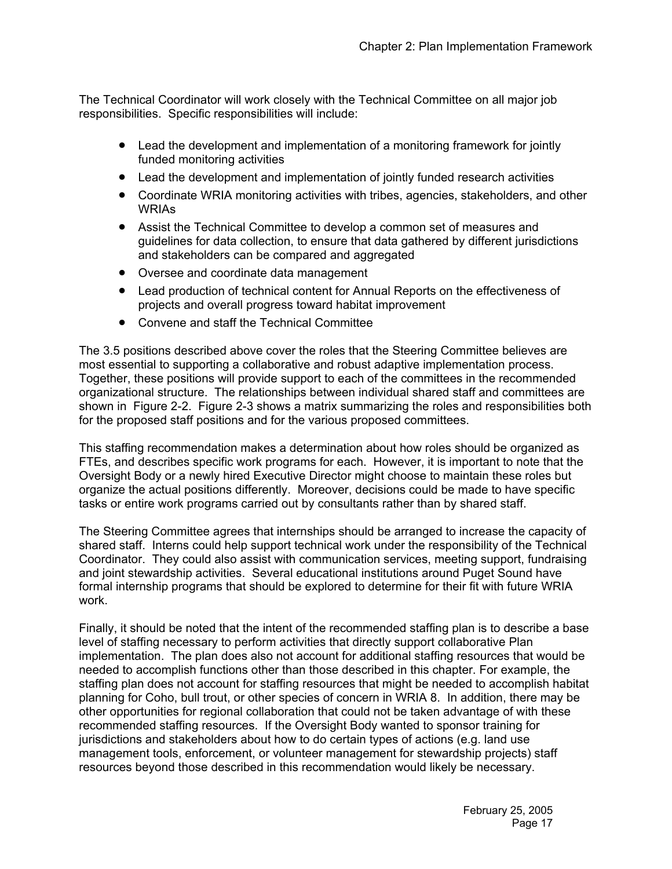The Technical Coordinator will work closely with the Technical Committee on all major job responsibilities. Specific responsibilities will include:

- Lead the development and implementation of a monitoring framework for jointly funded monitoring activities
- Lead the development and implementation of jointly funded research activities
- Coordinate WRIA monitoring activities with tribes, agencies, stakeholders, and other WRIAs
- Assist the Technical Committee to develop a common set of measures and guidelines for data collection, to ensure that data gathered by different jurisdictions and stakeholders can be compared and aggregated
- Oversee and coordinate data management
- Lead production of technical content for Annual Reports on the effectiveness of projects and overall progress toward habitat improvement
- Convene and staff the Technical Committee

The 3.5 positions described above cover the roles that the Steering Committee believes are most essential to supporting a collaborative and robust adaptive implementation process. Together, these positions will provide support to each of the committees in the recommended organizational structure. The relationships between individual shared staff and committees are shown in Figure 2-2. Figure 2-3 shows a matrix summarizing the roles and responsibilities both for the proposed staff positions and for the various proposed committees.

This staffing recommendation makes a determination about how roles should be organized as FTEs, and describes specific work programs for each. However, it is important to note that the Oversight Body or a newly hired Executive Director might choose to maintain these roles but organize the actual positions differently. Moreover, decisions could be made to have specific tasks or entire work programs carried out by consultants rather than by shared staff.

The Steering Committee agrees that internships should be arranged to increase the capacity of shared staff. Interns could help support technical work under the responsibility of the Technical Coordinator. They could also assist with communication services, meeting support, fundraising and joint stewardship activities. Several educational institutions around Puget Sound have formal internship programs that should be explored to determine for their fit with future WRIA work.

Finally, it should be noted that the intent of the recommended staffing plan is to describe a base level of staffing necessary to perform activities that directly support collaborative Plan implementation. The plan does also not account for additional staffing resources that would be needed to accomplish functions other than those described in this chapter. For example, the staffing plan does not account for staffing resources that might be needed to accomplish habitat planning for Coho, bull trout, or other species of concern in WRIA 8. In addition, there may be other opportunities for regional collaboration that could not be taken advantage of with these recommended staffing resources. If the Oversight Body wanted to sponsor training for jurisdictions and stakeholders about how to do certain types of actions (e.g. land use management tools, enforcement, or volunteer management for stewardship projects) staff resources beyond those described in this recommendation would likely be necessary.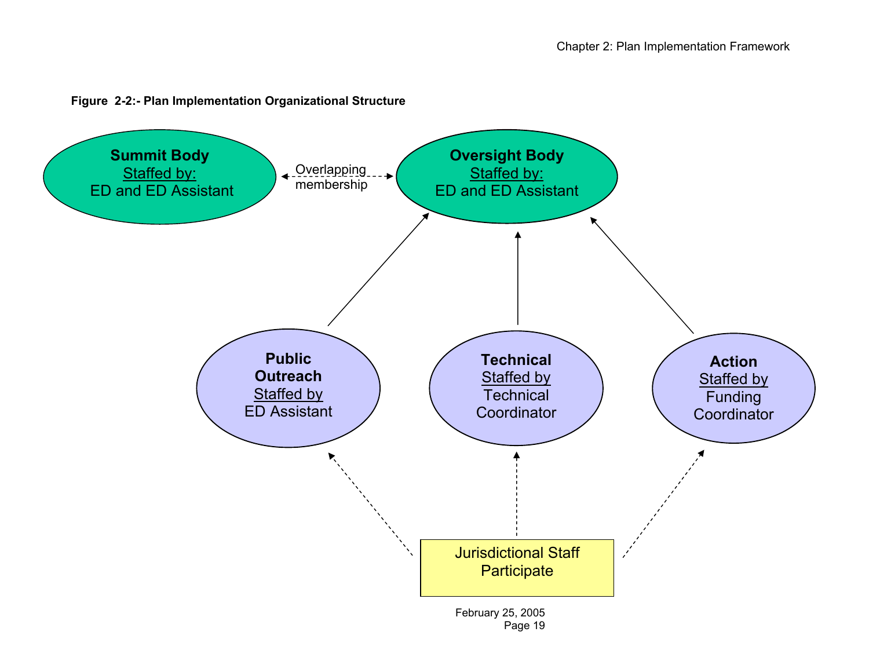

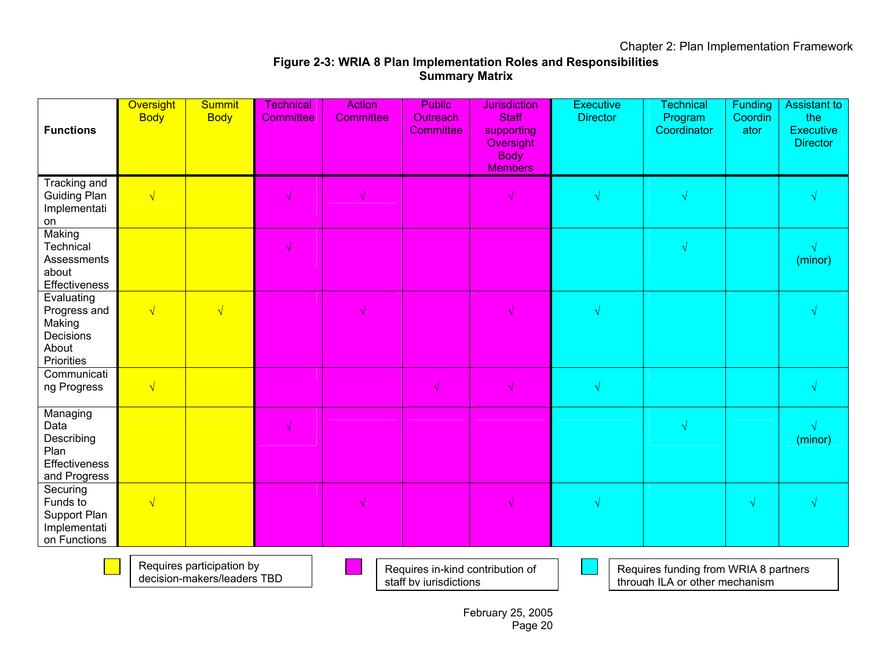## **Figure 2-3: WRIA 8 Plan Implementation Roles and Responsibilities Summary Matrix**

| <b>Functions</b>                                                         | <b>Oversight</b><br><b>Body</b> | <b>Summit</b><br><b>Body</b> | <b>Technical</b><br><b>Committee</b> | <b>Action</b><br><b>Committee</b> | <b>Public</b><br><b>Outreach</b><br><b>Committee</b> | <b>Jurisdiction</b><br><b>Staff</b><br>supporting<br>Oversight<br><b>Body</b><br><b>Members</b> | <b>Executive</b><br><b>Director</b> | <b>Technical</b><br>Program<br>Coordinator | Funding<br>Coordin<br>ator | <b>Assistant to</b><br>the<br><b>Executive</b><br><b>Director</b> |
|--------------------------------------------------------------------------|---------------------------------|------------------------------|--------------------------------------|-----------------------------------|------------------------------------------------------|-------------------------------------------------------------------------------------------------|-------------------------------------|--------------------------------------------|----------------------------|-------------------------------------------------------------------|
| Tracking and<br><b>Guiding Plan</b><br>Implementati<br>on                | $\sqrt{}$                       |                              |                                      |                                   |                                                      | √                                                                                               | $\sqrt{}$                           | $\sqrt{ }$                                 |                            |                                                                   |
| Making<br>Technical<br>Assessments<br>about<br>Effectiveness             |                                 |                              |                                      |                                   |                                                      |                                                                                                 |                                     | $\sqrt{ }$                                 |                            | (minor)                                                           |
| Evaluating<br>Progress and<br>Making<br>Decisions<br>About<br>Priorities | $\sqrt{}$                       | $\sqrt{}$                    |                                      |                                   |                                                      | ٦I                                                                                              | $\sqrt{ }$                          |                                            |                            |                                                                   |
| Communicati<br>ng Progress                                               | $\sqrt{}$                       |                              |                                      |                                   | $\sqrt{ }$                                           | $\sqrt{}$                                                                                       | $\sqrt{}$                           |                                            |                            | √                                                                 |
| Managing<br>Data<br>Describing<br>Plan<br>Effectiveness<br>and Progress  |                                 |                              | √                                    |                                   |                                                      |                                                                                                 |                                     | $\sqrt{ }$                                 |                            | (minor)                                                           |
| Securing<br>Funds to<br>Support Plan<br>Implementati<br>on Functions     | $\sqrt{}$                       |                              |                                      |                                   |                                                      |                                                                                                 |                                     |                                            | $\sqrt{}$                  |                                                                   |



Requires participation by decision-makers/leaders TBD Requires in-kind contribution of staff by jurisdictions

Requires funding from WRIA 8 partners through ILA or other mechanism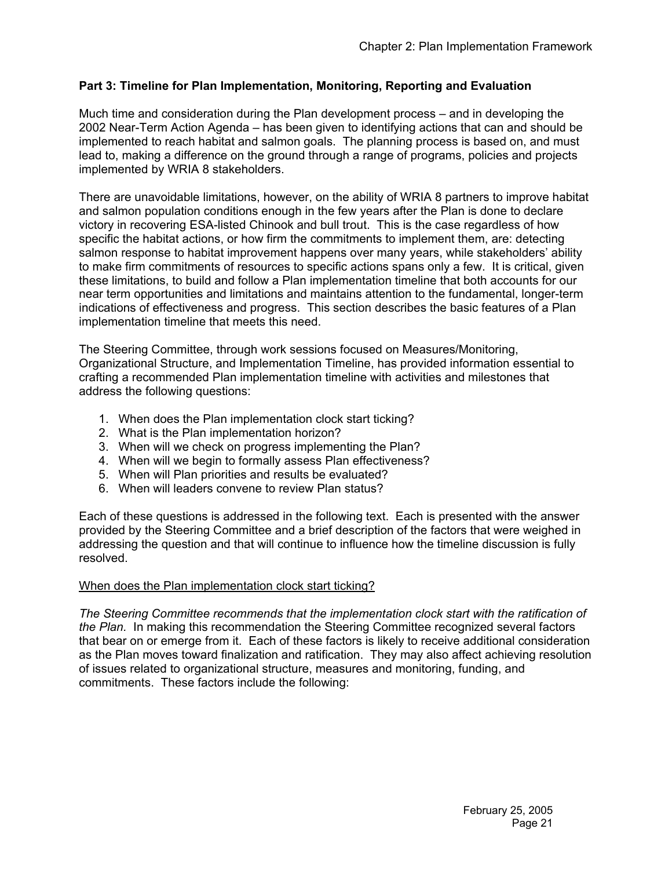## **Part 3: Timeline for Plan Implementation, Monitoring, Reporting and Evaluation**

Much time and consideration during the Plan development process – and in developing the 2002 Near-Term Action Agenda – has been given to identifying actions that can and should be implemented to reach habitat and salmon goals. The planning process is based on, and must lead to, making a difference on the ground through a range of programs, policies and projects implemented by WRIA 8 stakeholders.

There are unavoidable limitations, however, on the ability of WRIA 8 partners to improve habitat and salmon population conditions enough in the few years after the Plan is done to declare victory in recovering ESA-listed Chinook and bull trout. This is the case regardless of how specific the habitat actions, or how firm the commitments to implement them, are: detecting salmon response to habitat improvement happens over many years, while stakeholders' ability to make firm commitments of resources to specific actions spans only a few. It is critical, given these limitations, to build and follow a Plan implementation timeline that both accounts for our near term opportunities and limitations and maintains attention to the fundamental, longer-term indications of effectiveness and progress. This section describes the basic features of a Plan implementation timeline that meets this need.

The Steering Committee, through work sessions focused on Measures/Monitoring, Organizational Structure, and Implementation Timeline, has provided information essential to crafting a recommended Plan implementation timeline with activities and milestones that address the following questions:

- 1. When does the Plan implementation clock start ticking?
- 2. What is the Plan implementation horizon?
- 3. When will we check on progress implementing the Plan?
- 4. When will we begin to formally assess Plan effectiveness?
- 5. When will Plan priorities and results be evaluated?
- 6. When will leaders convene to review Plan status?

Each of these questions is addressed in the following text. Each is presented with the answer provided by the Steering Committee and a brief description of the factors that were weighed in addressing the question and that will continue to influence how the timeline discussion is fully resolved.

#### When does the Plan implementation clock start ticking?

*The Steering Committee recommends that the implementation clock start with the ratification of the Plan.* In making this recommendation the Steering Committee recognized several factors that bear on or emerge from it. Each of these factors is likely to receive additional consideration as the Plan moves toward finalization and ratification. They may also affect achieving resolution of issues related to organizational structure, measures and monitoring, funding, and commitments. These factors include the following: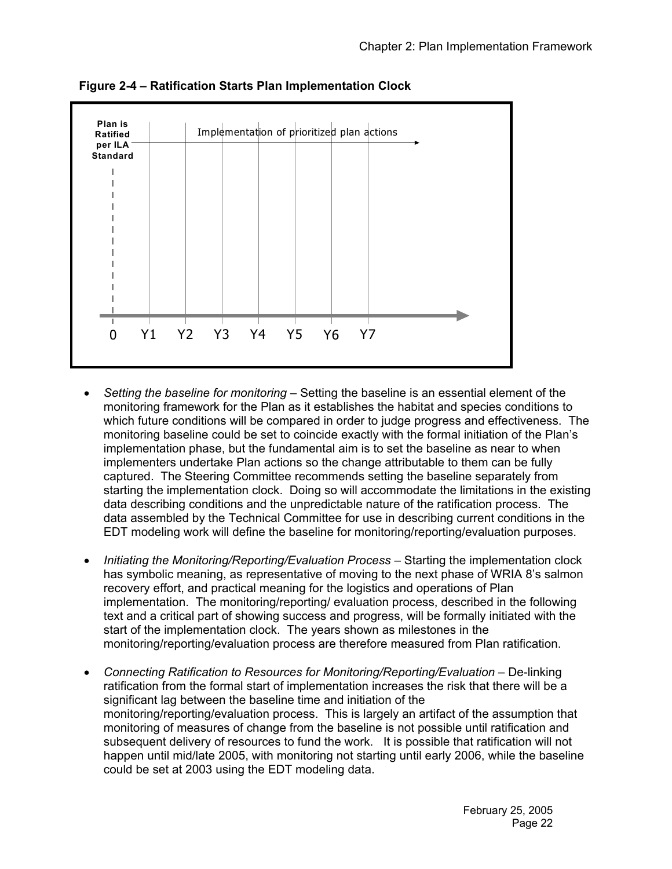

**Figure 2-4 – Ratification Starts Plan Implementation Clock** 

- *Setting the baseline for monitoring* Setting the baseline is an essential element of the monitoring framework for the Plan as it establishes the habitat and species conditions to which future conditions will be compared in order to judge progress and effectiveness. The monitoring baseline could be set to coincide exactly with the formal initiation of the Plan's implementation phase, but the fundamental aim is to set the baseline as near to when implementers undertake Plan actions so the change attributable to them can be fully captured. The Steering Committee recommends setting the baseline separately from starting the implementation clock. Doing so will accommodate the limitations in the existing data describing conditions and the unpredictable nature of the ratification process. The data assembled by the Technical Committee for use in describing current conditions in the EDT modeling work will define the baseline for monitoring/reporting/evaluation purposes.
- *Initiating the Monitoring/Reporting/Evaluation Process* Starting the implementation clock has symbolic meaning, as representative of moving to the next phase of WRIA 8's salmon recovery effort, and practical meaning for the logistics and operations of Plan implementation. The monitoring/reporting/ evaluation process, described in the following text and a critical part of showing success and progress, will be formally initiated with the start of the implementation clock. The years shown as milestones in the monitoring/reporting/evaluation process are therefore measured from Plan ratification.
- *Connecting Ratification to Resources for Monitoring/Reporting/Evaluation* De-linking ratification from the formal start of implementation increases the risk that there will be a significant lag between the baseline time and initiation of the monitoring/reporting/evaluation process. This is largely an artifact of the assumption that monitoring of measures of change from the baseline is not possible until ratification and subsequent delivery of resources to fund the work. It is possible that ratification will not happen until mid/late 2005, with monitoring not starting until early 2006, while the baseline could be set at 2003 using the EDT modeling data.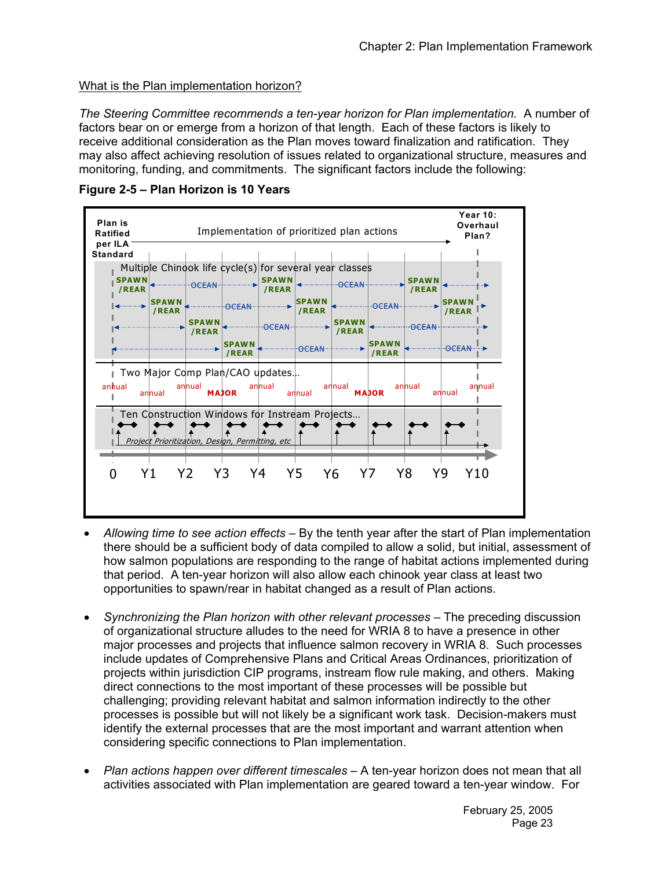## What is the Plan implementation horizon?

*The Steering Committee recommends a ten-year horizon for Plan implementation.* A number of factors bear on or emerge from a horizon of that length. Each of these factors is likely to receive additional consideration as the Plan moves toward finalization and ratification. They may also affect achieving resolution of issues related to organizational structure, measures and monitoring, funding, and commitments. The significant factors include the following:



**Figure 2-5 – Plan Horizon is 10 Years** 

- *Allowing time to see action effects* By the tenth year after the start of Plan implementation there should be a sufficient body of data compiled to allow a solid, but initial, assessment of how salmon populations are responding to the range of habitat actions implemented during that period. A ten-year horizon will also allow each chinook year class at least two opportunities to spawn/rear in habitat changed as a result of Plan actions.
- *Synchronizing the Plan horizon with other relevant processes* The preceding discussion of organizational structure alludes to the need for WRIA 8 to have a presence in other major processes and projects that influence salmon recovery in WRIA 8. Such processes include updates of Comprehensive Plans and Critical Areas Ordinances, prioritization of projects within jurisdiction CIP programs, instream flow rule making, and others. Making direct connections to the most important of these processes will be possible but challenging; providing relevant habitat and salmon information indirectly to the other processes is possible but will not likely be a significant work task. Decision-makers must identify the external processes that are the most important and warrant attention when considering specific connections to Plan implementation.
- *Plan actions happen over different timescales* A ten-year horizon does not mean that all activities associated with Plan implementation are geared toward a ten-year window. For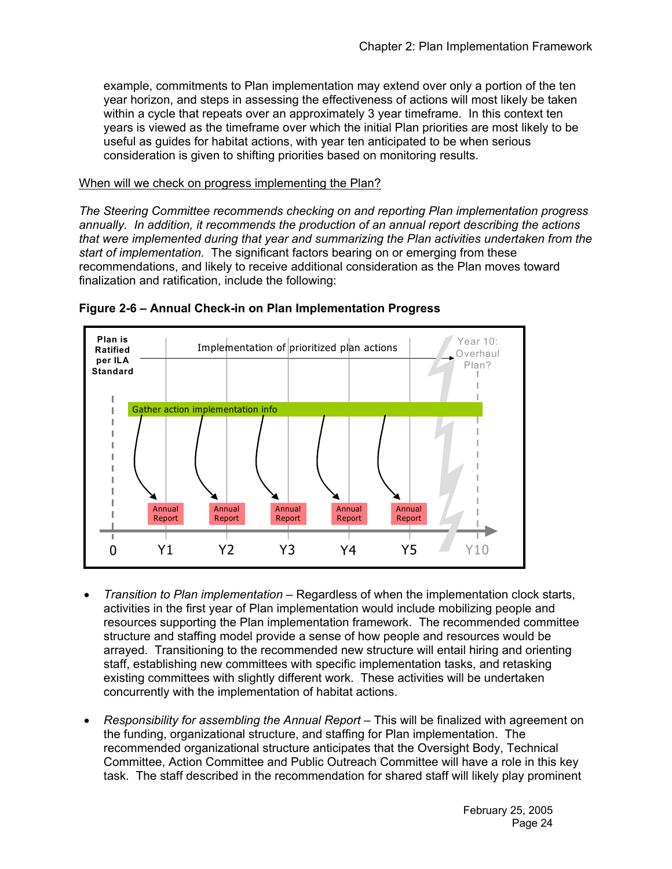example, commitments to Plan implementation may extend over only a portion of the ten year horizon, and steps in assessing the effectiveness of actions will most likely be taken within a cycle that repeats over an approximately 3 year timeframe. In this context ten years is viewed as the timeframe over which the initial Plan priorities are most likely to be useful as guides for habitat actions, with year ten anticipated to be when serious consideration is given to shifting priorities based on monitoring results.

#### When will we check on progress implementing the Plan?

*The Steering Committee recommends checking on and reporting Plan implementation progress annually. In addition, it recommends the production of an annual report describing the actions that were implemented during that year and summarizing the Plan activities undertaken from the start of implementation.* The significant factors bearing on or emerging from these recommendations, and likely to receive additional consideration as the Plan moves toward finalization and ratification, include the following:





- *Transition to Plan implementation* Regardless of when the implementation clock starts, activities in the first year of Plan implementation would include mobilizing people and resources supporting the Plan implementation framework. The recommended committee structure and staffing model provide a sense of how people and resources would be arrayed. Transitioning to the recommended new structure will entail hiring and orienting staff, establishing new committees with specific implementation tasks, and retasking existing committees with slightly different work. These activities will be undertaken concurrently with the implementation of habitat actions.
- *Responsibility for assembling the Annual Report* This will be finalized with agreement on the funding, organizational structure, and staffing for Plan implementation. The recommended organizational structure anticipates that the Oversight Body, Technical Committee, Action Committee and Public Outreach Committee will have a role in this key task. The staff described in the recommendation for shared staff will likely play prominent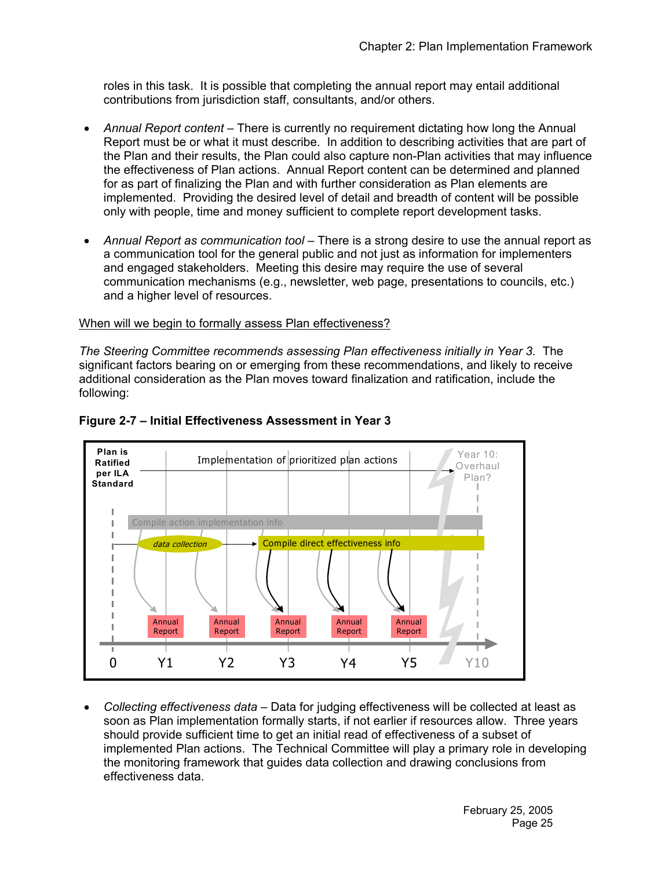roles in this task. It is possible that completing the annual report may entail additional contributions from jurisdiction staff, consultants, and/or others.

- *Annual Report content* There is currently no requirement dictating how long the Annual Report must be or what it must describe. In addition to describing activities that are part of the Plan and their results, the Plan could also capture non-Plan activities that may influence the effectiveness of Plan actions. Annual Report content can be determined and planned for as part of finalizing the Plan and with further consideration as Plan elements are implemented. Providing the desired level of detail and breadth of content will be possible only with people, time and money sufficient to complete report development tasks.
- *Annual Report as communication tool* There is a strong desire to use the annual report as a communication tool for the general public and not just as information for implementers and engaged stakeholders. Meeting this desire may require the use of several communication mechanisms (e.g., newsletter, web page, presentations to councils, etc.) and a higher level of resources.

#### When will we begin to formally assess Plan effectiveness?

*The Steering Committee recommends assessing Plan effectiveness initially in Year 3.* The significant factors bearing on or emerging from these recommendations, and likely to receive additional consideration as the Plan moves toward finalization and ratification, include the following:



#### **Figure 2-7 – Initial Effectiveness Assessment in Year 3**

• *Collecting effectiveness data* – Data for judging effectiveness will be collected at least as soon as Plan implementation formally starts, if not earlier if resources allow. Three years should provide sufficient time to get an initial read of effectiveness of a subset of implemented Plan actions. The Technical Committee will play a primary role in developing the monitoring framework that guides data collection and drawing conclusions from effectiveness data.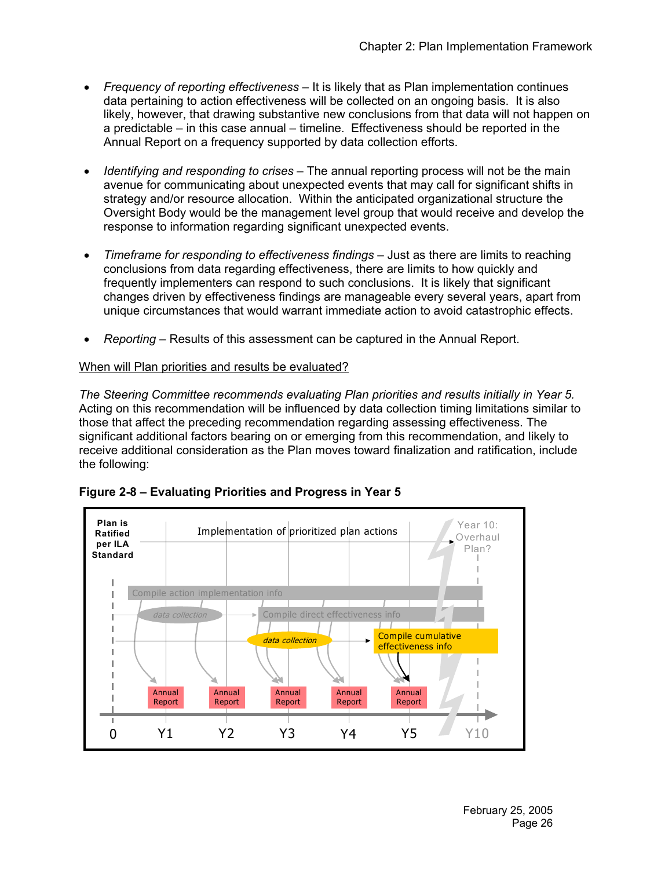- *Frequency of reporting effectiveness* It is likely that as Plan implementation continues data pertaining to action effectiveness will be collected on an ongoing basis. It is also likely, however, that drawing substantive new conclusions from that data will not happen on a predictable – in this case annual – timeline. Effectiveness should be reported in the Annual Report on a frequency supported by data collection efforts.
- *Identifying and responding to crises* The annual reporting process will not be the main avenue for communicating about unexpected events that may call for significant shifts in strategy and/or resource allocation. Within the anticipated organizational structure the Oversight Body would be the management level group that would receive and develop the response to information regarding significant unexpected events.
- *Timeframe for responding to effectiveness findings Just as there are limits to reaching* conclusions from data regarding effectiveness, there are limits to how quickly and frequently implementers can respond to such conclusions. It is likely that significant changes driven by effectiveness findings are manageable every several years, apart from unique circumstances that would warrant immediate action to avoid catastrophic effects.
- *Reporting* Results of this assessment can be captured in the Annual Report.

## When will Plan priorities and results be evaluated?

*The Steering Committee recommends evaluating Plan priorities and results initially in Year 5.* Acting on this recommendation will be influenced by data collection timing limitations similar to those that affect the preceding recommendation regarding assessing effectiveness. The significant additional factors bearing on or emerging from this recommendation, and likely to receive additional consideration as the Plan moves toward finalization and ratification, include the following:



**Figure 2-8 – Evaluating Priorities and Progress in Year 5**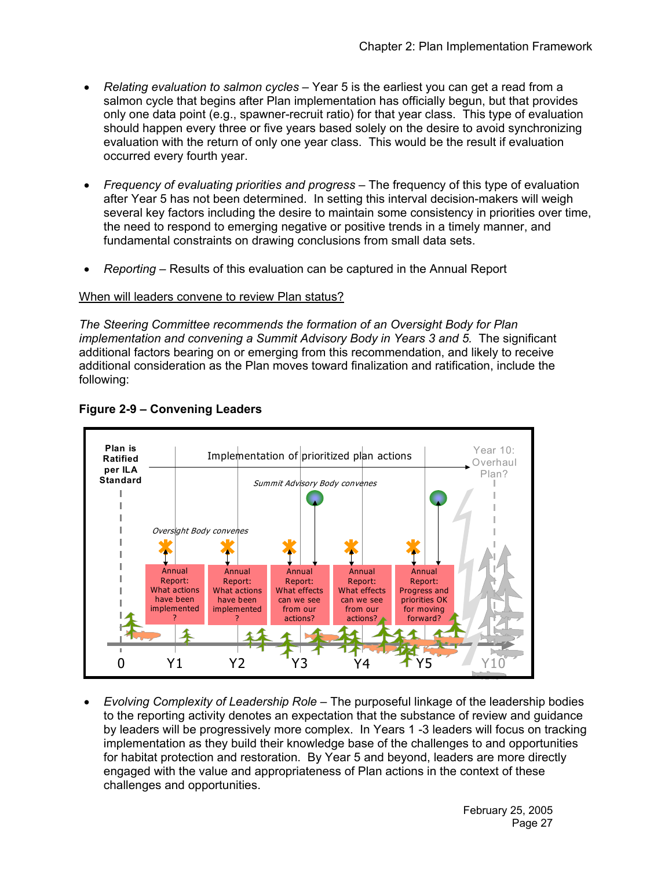- *Relating evaluation to salmon cycles* Year 5 is the earliest you can get a read from a salmon cycle that begins after Plan implementation has officially begun, but that provides only one data point (e.g., spawner-recruit ratio) for that year class. This type of evaluation should happen every three or five years based solely on the desire to avoid synchronizing evaluation with the return of only one year class. This would be the result if evaluation occurred every fourth year.
- *Frequency of evaluating priorities and progress* The frequency of this type of evaluation after Year 5 has not been determined. In setting this interval decision-makers will weigh several key factors including the desire to maintain some consistency in priorities over time, the need to respond to emerging negative or positive trends in a timely manner, and fundamental constraints on drawing conclusions from small data sets.
- *Reporting* Results of this evaluation can be captured in the Annual Report

#### When will leaders convene to review Plan status?

*The Steering Committee recommends the formation of an Oversight Body for Plan implementation and convening a Summit Advisory Body in Years 3 and 5.* The significant additional factors bearing on or emerging from this recommendation, and likely to receive additional consideration as the Plan moves toward finalization and ratification, include the following:



## **Figure 2-9 – Convening Leaders**

• *Evolving Complexity of Leadership Role* – The purposeful linkage of the leadership bodies to the reporting activity denotes an expectation that the substance of review and guidance by leaders will be progressively more complex. In Years 1 -3 leaders will focus on tracking implementation as they build their knowledge base of the challenges to and opportunities for habitat protection and restoration. By Year 5 and beyond, leaders are more directly engaged with the value and appropriateness of Plan actions in the context of these challenges and opportunities.